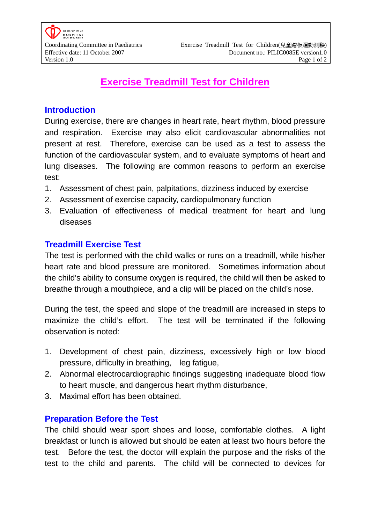# **Exercise Treadmill Test for Children**

## **Introduction**

During exercise, there are changes in heart rate, heart rhythm, blood pressure and respiration. Exercise may also elicit cardiovascular abnormalities not present at rest. Therefore, exercise can be used as a test to assess the function of the cardiovascular system, and to evaluate symptoms of heart and lung diseases. The following are common reasons to perform an exercise test:

- 1. Assessment of chest pain, palpitations, dizziness induced by exercise
- 2. Assessment of exercise capacity, cardiopulmonary function
- 3. Evaluation of effectiveness of medical treatment for heart and lung diseases

## **Treadmill Exercise Test**

The test is performed with the child walks or runs on a treadmill, while his/her heart rate and blood pressure are monitored. Sometimes information about the child's ability to consume oxygen is required, the child will then be asked to breathe through a mouthpiece, and a clip will be placed on the child's nose.

During the test, the speed and slope of the treadmill are increased in steps to maximize the child's effort. The test will be terminated if the following observation is noted:

- 1. Development of chest pain, dizziness, excessively high or low blood pressure, difficulty in breathing, leg fatigue,
- 2. Abnormal electrocardiographic findings suggesting inadequate blood flow to heart muscle, and dangerous heart rhythm disturbance,
- 3. Maximal effort has been obtained.

#### **Preparation Before the Test**

The child should wear sport shoes and loose, comfortable clothes. A light breakfast or lunch is allowed but should be eaten at least two hours before the test. Before the test, the doctor will explain the purpose and the risks of the test to the child and parents. The child will be connected to devices for